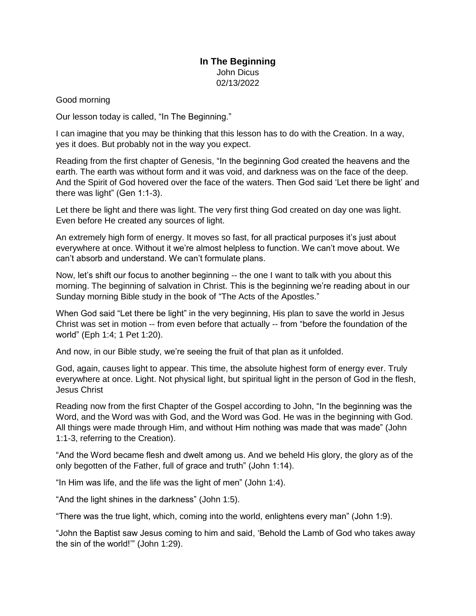## **In The Beginning** John Dicus 02/13/2022

## Good morning

Our lesson today is called, "In The Beginning."

I can imagine that you may be thinking that this lesson has to do with the Creation. In a way, yes it does. But probably not in the way you expect.

Reading from the first chapter of Genesis, "In the beginning God created the heavens and the earth. The earth was without form and it was void, and darkness was on the face of the deep. And the Spirit of God hovered over the face of the waters. Then God said 'Let there be light' and there was light" (Gen 1:1-3).

Let there be light and there was light. The very first thing God created on day one was light. Even before He created any sources of light.

An extremely high form of energy. It moves so fast, for all practical purposes it's just about everywhere at once. Without it we're almost helpless to function. We can't move about. We can't absorb and understand. We can't formulate plans.

Now, let's shift our focus to another beginning -- the one I want to talk with you about this morning. The beginning of salvation in Christ. This is the beginning we're reading about in our Sunday morning Bible study in the book of "The Acts of the Apostles."

When God said "Let there be light" in the very beginning, His plan to save the world in Jesus Christ was set in motion -- from even before that actually -- from "before the foundation of the world" (Eph 1:4; 1 Pet 1:20).

And now, in our Bible study, we're seeing the fruit of that plan as it unfolded.

God, again, causes light to appear. This time, the absolute highest form of energy ever. Truly everywhere at once. Light. Not physical light, but spiritual light in the person of God in the flesh, Jesus Christ

Reading now from the first Chapter of the Gospel according to John, "In the beginning was the Word, and the Word was with God, and the Word was God. He was in the beginning with God. All things were made through Him, and without Him nothing was made that was made" (John 1:1-3, referring to the Creation).

"And the Word became flesh and dwelt among us. And we beheld His glory, the glory as of the only begotten of the Father, full of grace and truth" (John 1:14).

"In Him was life, and the life was the light of men" (John 1:4).

"And the light shines in the darkness" (John 1:5).

"There was the true light, which, coming into the world, enlightens every man" (John 1:9).

"John the Baptist saw Jesus coming to him and said, 'Behold the Lamb of God who takes away the sin of the world!'" (John 1:29).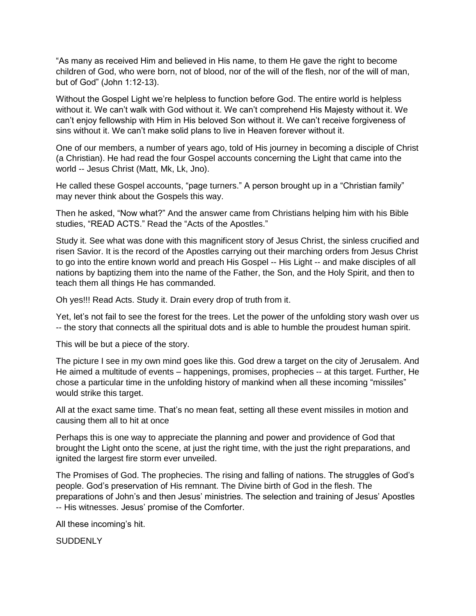"As many as received Him and believed in His name, to them He gave the right to become children of God, who were born, not of blood, nor of the will of the flesh, nor of the will of man, but of God" (John 1:12-13).

Without the Gospel Light we're helpless to function before God. The entire world is helpless without it. We can't walk with God without it. We can't comprehend His Majesty without it. We can't enjoy fellowship with Him in His beloved Son without it. We can't receive forgiveness of sins without it. We can't make solid plans to live in Heaven forever without it.

One of our members, a number of years ago, told of His journey in becoming a disciple of Christ (a Christian). He had read the four Gospel accounts concerning the Light that came into the world -- Jesus Christ (Matt, Mk, Lk, Jno).

He called these Gospel accounts, "page turners." A person brought up in a "Christian family" may never think about the Gospels this way.

Then he asked, "Now what?" And the answer came from Christians helping him with his Bible studies, "READ ACTS." Read the "Acts of the Apostles."

Study it. See what was done with this magnificent story of Jesus Christ, the sinless crucified and risen Savior. It is the record of the Apostles carrying out their marching orders from Jesus Christ to go into the entire known world and preach His Gospel -- His Light -- and make disciples of all nations by baptizing them into the name of the Father, the Son, and the Holy Spirit, and then to teach them all things He has commanded.

Oh yes!!! Read Acts. Study it. Drain every drop of truth from it.

Yet, let's not fail to see the forest for the trees. Let the power of the unfolding story wash over us -- the story that connects all the spiritual dots and is able to humble the proudest human spirit.

This will be but a piece of the story.

The picture I see in my own mind goes like this. God drew a target on the city of Jerusalem. And He aimed a multitude of events – happenings, promises, prophecies -- at this target. Further, He chose a particular time in the unfolding history of mankind when all these incoming "missiles" would strike this target.

All at the exact same time. That's no mean feat, setting all these event missiles in motion and causing them all to hit at once

Perhaps this is one way to appreciate the planning and power and providence of God that brought the Light onto the scene, at just the right time, with the just the right preparations, and ignited the largest fire storm ever unveiled.

The Promises of God. The prophecies. The rising and falling of nations. The struggles of God's people. God's preservation of His remnant. The Divine birth of God in the flesh. The preparations of John's and then Jesus' ministries. The selection and training of Jesus' Apostles -- His witnesses. Jesus' promise of the Comforter.

All these incoming's hit.

SUDDENLY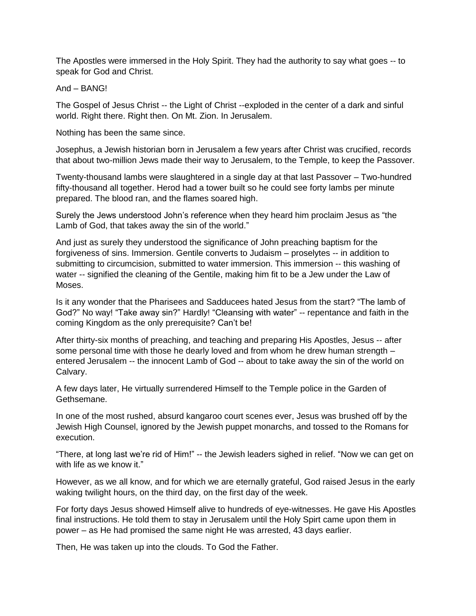The Apostles were immersed in the Holy Spirit. They had the authority to say what goes -- to speak for God and Christ.

And – BANG!

The Gospel of Jesus Christ -- the Light of Christ --exploded in the center of a dark and sinful world. Right there. Right then. On Mt. Zion. In Jerusalem.

Nothing has been the same since.

Josephus, a Jewish historian born in Jerusalem a few years after Christ was crucified, records that about two-million Jews made their way to Jerusalem, to the Temple, to keep the Passover.

Twenty-thousand lambs were slaughtered in a single day at that last Passover – Two-hundred fifty-thousand all together. Herod had a tower built so he could see forty lambs per minute prepared. The blood ran, and the flames soared high.

Surely the Jews understood John's reference when they heard him proclaim Jesus as "the Lamb of God, that takes away the sin of the world."

And just as surely they understood the significance of John preaching baptism for the forgiveness of sins. Immersion. Gentile converts to Judaism – proselytes -- in addition to submitting to circumcision, submitted to water immersion. This immersion -- this washing of water -- signified the cleaning of the Gentile, making him fit to be a Jew under the Law of Moses.

Is it any wonder that the Pharisees and Sadducees hated Jesus from the start? "The lamb of God?" No way! "Take away sin?" Hardly! "Cleansing with water" -- repentance and faith in the coming Kingdom as the only prerequisite? Can't be!

After thirty-six months of preaching, and teaching and preparing His Apostles, Jesus -- after some personal time with those he dearly loved and from whom he drew human strength – entered Jerusalem -- the innocent Lamb of God -- about to take away the sin of the world on Calvary.

A few days later, He virtually surrendered Himself to the Temple police in the Garden of Gethsemane.

In one of the most rushed, absurd kangaroo court scenes ever, Jesus was brushed off by the Jewish High Counsel, ignored by the Jewish puppet monarchs, and tossed to the Romans for execution.

"There, at long last we're rid of Him!" -- the Jewish leaders sighed in relief. "Now we can get on with life as we know it."

However, as we all know, and for which we are eternally grateful, God raised Jesus in the early waking twilight hours, on the third day, on the first day of the week.

For forty days Jesus showed Himself alive to hundreds of eye-witnesses. He gave His Apostles final instructions. He told them to stay in Jerusalem until the Holy Spirt came upon them in power – as He had promised the same night He was arrested, 43 days earlier.

Then, He was taken up into the clouds. To God the Father.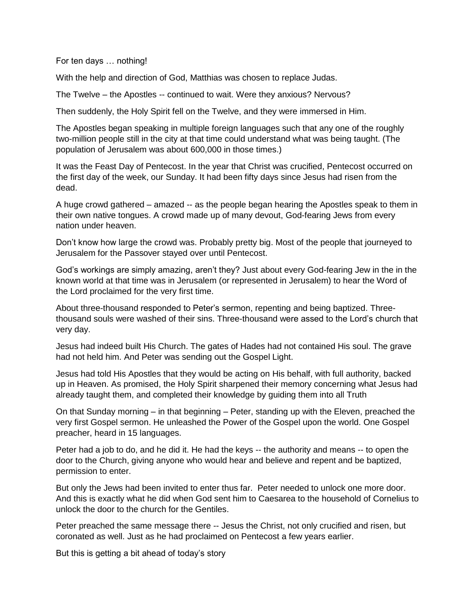For ten days … nothing!

With the help and direction of God, Matthias was chosen to replace Judas.

The Twelve – the Apostles -- continued to wait. Were they anxious? Nervous?

Then suddenly, the Holy Spirit fell on the Twelve, and they were immersed in Him.

The Apostles began speaking in multiple foreign languages such that any one of the roughly two-million people still in the city at that time could understand what was being taught. (The population of Jerusalem was about 600,000 in those times.)

It was the Feast Day of Pentecost. In the year that Christ was crucified, Pentecost occurred on the first day of the week, our Sunday. It had been fifty days since Jesus had risen from the dead.

A huge crowd gathered – amazed -- as the people began hearing the Apostles speak to them in their own native tongues. A crowd made up of many devout, God-fearing Jews from every nation under heaven.

Don't know how large the crowd was. Probably pretty big. Most of the people that journeyed to Jerusalem for the Passover stayed over until Pentecost.

God's workings are simply amazing, aren't they? Just about every God-fearing Jew in the in the known world at that time was in Jerusalem (or represented in Jerusalem) to hear the Word of the Lord proclaimed for the very first time.

About three-thousand responded to Peter's sermon, repenting and being baptized. Threethousand souls were washed of their sins. Three-thousand were assed to the Lord's church that very day.

Jesus had indeed built His Church. The gates of Hades had not contained His soul. The grave had not held him. And Peter was sending out the Gospel Light.

Jesus had told His Apostles that they would be acting on His behalf, with full authority, backed up in Heaven. As promised, the Holy Spirit sharpened their memory concerning what Jesus had already taught them, and completed their knowledge by guiding them into all Truth

On that Sunday morning – in that beginning – Peter, standing up with the Eleven, preached the very first Gospel sermon. He unleashed the Power of the Gospel upon the world. One Gospel preacher, heard in 15 languages.

Peter had a job to do, and he did it. He had the keys -- the authority and means -- to open the door to the Church, giving anyone who would hear and believe and repent and be baptized, permission to enter.

But only the Jews had been invited to enter thus far. Peter needed to unlock one more door. And this is exactly what he did when God sent him to Caesarea to the household of Cornelius to unlock the door to the church for the Gentiles.

Peter preached the same message there -- Jesus the Christ, not only crucified and risen, but coronated as well. Just as he had proclaimed on Pentecost a few years earlier.

But this is getting a bit ahead of today's story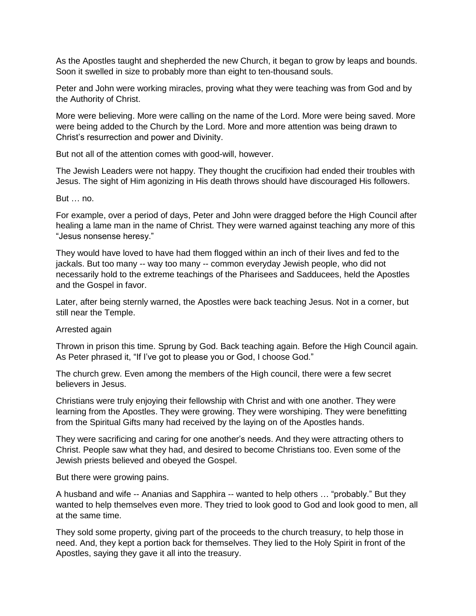As the Apostles taught and shepherded the new Church, it began to grow by leaps and bounds. Soon it swelled in size to probably more than eight to ten-thousand souls.

Peter and John were working miracles, proving what they were teaching was from God and by the Authority of Christ.

More were believing. More were calling on the name of the Lord. More were being saved. More were being added to the Church by the Lord. More and more attention was being drawn to Christ's resurrection and power and Divinity.

But not all of the attention comes with good-will, however.

The Jewish Leaders were not happy. They thought the crucifixion had ended their troubles with Jesus. The sight of Him agonizing in His death throws should have discouraged His followers.

## But … no.

For example, over a period of days, Peter and John were dragged before the High Council after healing a lame man in the name of Christ. They were warned against teaching any more of this "Jesus nonsense heresy."

They would have loved to have had them flogged within an inch of their lives and fed to the jackals. But too many -- way too many -- common everyday Jewish people, who did not necessarily hold to the extreme teachings of the Pharisees and Sadducees, held the Apostles and the Gospel in favor.

Later, after being sternly warned, the Apostles were back teaching Jesus. Not in a corner, but still near the Temple.

## Arrested again

Thrown in prison this time. Sprung by God. Back teaching again. Before the High Council again. As Peter phrased it, "If I've got to please you or God, I choose God."

The church grew. Even among the members of the High council, there were a few secret believers in Jesus.

Christians were truly enjoying their fellowship with Christ and with one another. They were learning from the Apostles. They were growing. They were worshiping. They were benefitting from the Spiritual Gifts many had received by the laying on of the Apostles hands.

They were sacrificing and caring for one another's needs. And they were attracting others to Christ. People saw what they had, and desired to become Christians too. Even some of the Jewish priests believed and obeyed the Gospel.

But there were growing pains.

A husband and wife -- Ananias and Sapphira -- wanted to help others … "probably." But they wanted to help themselves even more. They tried to look good to God and look good to men, all at the same time.

They sold some property, giving part of the proceeds to the church treasury, to help those in need. And, they kept a portion back for themselves. They lied to the Holy Spirit in front of the Apostles, saying they gave it all into the treasury.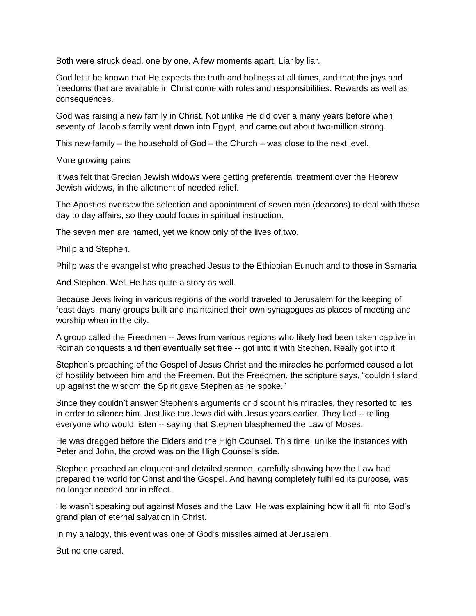Both were struck dead, one by one. A few moments apart. Liar by liar.

God let it be known that He expects the truth and holiness at all times, and that the joys and freedoms that are available in Christ come with rules and responsibilities. Rewards as well as consequences.

God was raising a new family in Christ. Not unlike He did over a many years before when seventy of Jacob's family went down into Egypt, and came out about two-million strong.

This new family – the household of God – the Church – was close to the next level.

More growing pains

It was felt that Grecian Jewish widows were getting preferential treatment over the Hebrew Jewish widows, in the allotment of needed relief.

The Apostles oversaw the selection and appointment of seven men (deacons) to deal with these day to day affairs, so they could focus in spiritual instruction.

The seven men are named, yet we know only of the lives of two.

Philip and Stephen.

Philip was the evangelist who preached Jesus to the Ethiopian Eunuch and to those in Samaria

And Stephen. Well He has quite a story as well.

Because Jews living in various regions of the world traveled to Jerusalem for the keeping of feast days, many groups built and maintained their own synagogues as places of meeting and worship when in the city.

A group called the Freedmen -- Jews from various regions who likely had been taken captive in Roman conquests and then eventually set free -- got into it with Stephen. Really got into it.

Stephen's preaching of the Gospel of Jesus Christ and the miracles he performed caused a lot of hostility between him and the Freemen. But the Freedmen, the scripture says, "couldn't stand up against the wisdom the Spirit gave Stephen as he spoke."

Since they couldn't answer Stephen's arguments or discount his miracles, they resorted to lies in order to silence him. Just like the Jews did with Jesus years earlier. They lied -- telling everyone who would listen -- saying that Stephen blasphemed the Law of Moses.

He was dragged before the Elders and the High Counsel. This time, unlike the instances with Peter and John, the crowd was on the High Counsel's side.

Stephen preached an eloquent and detailed sermon, carefully showing how the Law had prepared the world for Christ and the Gospel. And having completely fulfilled its purpose, was no longer needed nor in effect.

He wasn't speaking out against Moses and the Law. He was explaining how it all fit into God's grand plan of eternal salvation in Christ.

In my analogy, this event was one of God's missiles aimed at Jerusalem.

But no one cared.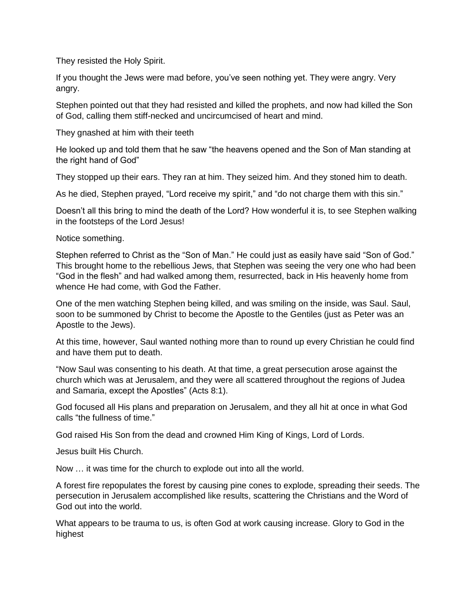They resisted the Holy Spirit.

If you thought the Jews were mad before, you've seen nothing yet. They were angry. Very angry.

Stephen pointed out that they had resisted and killed the prophets, and now had killed the Son of God, calling them stiff-necked and uncircumcised of heart and mind.

They gnashed at him with their teeth

He looked up and told them that he saw "the heavens opened and the Son of Man standing at the right hand of God"

They stopped up their ears. They ran at him. They seized him. And they stoned him to death.

As he died, Stephen prayed, "Lord receive my spirit," and "do not charge them with this sin."

Doesn't all this bring to mind the death of the Lord? How wonderful it is, to see Stephen walking in the footsteps of the Lord Jesus!

Notice something.

Stephen referred to Christ as the "Son of Man." He could just as easily have said "Son of God." This brought home to the rebellious Jews, that Stephen was seeing the very one who had been "God in the flesh" and had walked among them, resurrected, back in His heavenly home from whence He had come, with God the Father.

One of the men watching Stephen being killed, and was smiling on the inside, was Saul. Saul, soon to be summoned by Christ to become the Apostle to the Gentiles (just as Peter was an Apostle to the Jews).

At this time, however, Saul wanted nothing more than to round up every Christian he could find and have them put to death.

"Now Saul was consenting to his death. At that time, a great persecution arose against the church which was at Jerusalem, and they were all scattered throughout the regions of Judea and Samaria, except the Apostles" (Acts 8:1).

God focused all His plans and preparation on Jerusalem, and they all hit at once in what God calls "the fullness of time."

God raised His Son from the dead and crowned Him King of Kings, Lord of Lords.

Jesus built His Church.

Now … it was time for the church to explode out into all the world.

A forest fire repopulates the forest by causing pine cones to explode, spreading their seeds. The persecution in Jerusalem accomplished like results, scattering the Christians and the Word of God out into the world.

What appears to be trauma to us, is often God at work causing increase. Glory to God in the highest